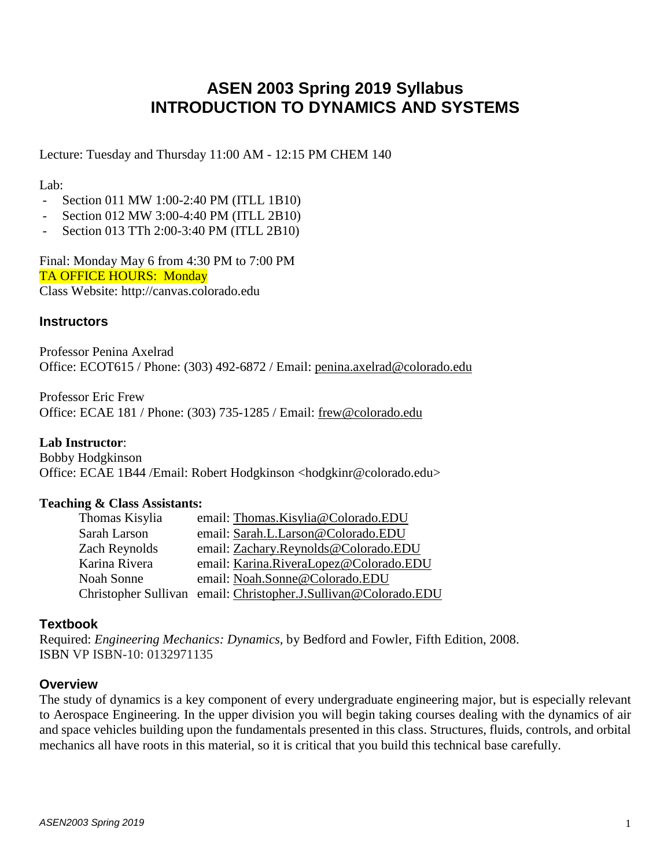# **ASEN 2003 Spring 2019 Syllabus INTRODUCTION TO DYNAMICS AND SYSTEMS**

Lecture: Tuesday and Thursday 11:00 AM - 12:15 PM CHEM 140

Lab:

- Section 011 MW 1:00-2:40 PM (ITLL 1B10)
- Section 012 MW 3:00-4:40 PM (ITLL 2B10)
- Section 013 TTh 2:00-3:40 PM (ITLL 2B10)

Final: Monday May 6 from 4:30 PM to 7:00 PM TA OFFICE HOURS: Monday Class Website: http://canvas.colorado.edu

#### **Instructors**

Professor Penina Axelrad Office: ECOT615 / Phone: (303) 492-6872 / Email: [penina.axelrad@colorado.edu](mailto:penina.axelrad@colorado.edu)

Professor Eric Frew Office: ECAE 181 / Phone: (303) 735-1285 / Email: [frew@colorado.edu](mailto:frew@colorado.edu)

#### **Lab Instructor**:

Bobby Hodgkinson Office: ECAE 1B44 /Email: Robert Hodgkinson <hodgkinr@colorado.edu>

#### **Teaching & Class Assistants:**

| Thomas Kisylia | email: Thomas.Kisylia@Colorado.EDU                              |
|----------------|-----------------------------------------------------------------|
| Sarah Larson   | email: Sarah.L.Larson@Colorado.EDU                              |
| Zach Reynolds  | email: Zachary.Reynolds@Colorado.EDU                            |
| Karina Rivera  | email: Karina.RiveraLopez@Colorado.EDU                          |
| Noah Sonne     | email: Noah.Sonne@Colorado.EDU                                  |
|                | Christopher Sullivan email: Christopher.J.Sullivan@Colorado.EDU |

#### **Textbook**

Required: *Engineering Mechanics: Dynamics,* by Bedford and Fowler, Fifth Edition, 2008. ISBN VP ISBN-10: 0132971135

#### **Overview**

The study of dynamics is a key component of every undergraduate engineering major, but is especially relevant to Aerospace Engineering. In the upper division you will begin taking courses dealing with the dynamics of air and space vehicles building upon the fundamentals presented in this class. Structures, fluids, controls, and orbital mechanics all have roots in this material, so it is critical that you build this technical base carefully.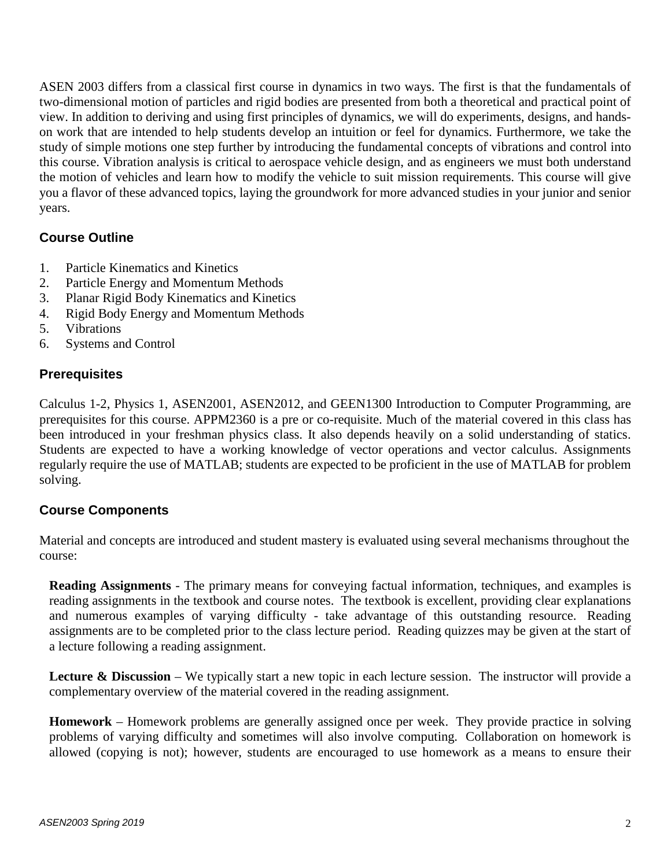ASEN 2003 differs from a classical first course in dynamics in two ways. The first is that the fundamentals of two-dimensional motion of particles and rigid bodies are presented from both a theoretical and practical point of view. In addition to deriving and using first principles of dynamics, we will do experiments, designs, and handson work that are intended to help students develop an intuition or feel for dynamics. Furthermore, we take the study of simple motions one step further by introducing the fundamental concepts of vibrations and control into this course. Vibration analysis is critical to aerospace vehicle design, and as engineers we must both understand the motion of vehicles and learn how to modify the vehicle to suit mission requirements. This course will give you a flavor of these advanced topics, laying the groundwork for more advanced studies in your junior and senior years.

## **Course Outline**

- 1. Particle Kinematics and Kinetics
- 2. Particle Energy and Momentum Methods
- 3. Planar Rigid Body Kinematics and Kinetics
- 4. Rigid Body Energy and Momentum Methods
- 5. Vibrations
- 6. Systems and Control

#### **Prerequisites**

Calculus 1-2, Physics 1, ASEN2001, ASEN2012, and GEEN1300 Introduction to Computer Programming, are prerequisites for this course. APPM2360 is a pre or co-requisite. Much of the material covered in this class has been introduced in your freshman physics class. It also depends heavily on a solid understanding of statics. Students are expected to have a working knowledge of vector operations and vector calculus. Assignments regularly require the use of MATLAB; students are expected to be proficient in the use of MATLAB for problem solving.

#### **Course Components**

Material and concepts are introduced and student mastery is evaluated using several mechanisms throughout the course:

**Reading Assignments** - The primary means for conveying factual information, techniques, and examples is reading assignments in the textbook and course notes. The textbook is excellent, providing clear explanations and numerous examples of varying difficulty - take advantage of this outstanding resource. Reading assignments are to be completed prior to the class lecture period. Reading quizzes may be given at the start of a lecture following a reading assignment.

**Lecture & Discussion** – We typically start a new topic in each lecture session. The instructor will provide a complementary overview of the material covered in the reading assignment.

**Homework** – Homework problems are generally assigned once per week. They provide practice in solving problems of varying difficulty and sometimes will also involve computing. Collaboration on homework is allowed (copying is not); however, students are encouraged to use homework as a means to ensure their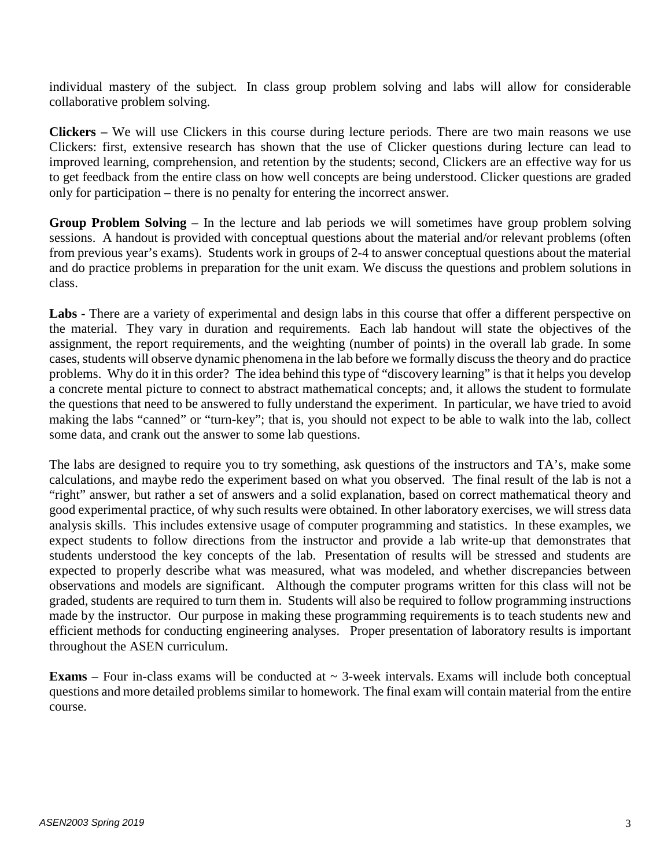individual mastery of the subject. In class group problem solving and labs will allow for considerable collaborative problem solving.

**Clickers –** We will use Clickers in this course during lecture periods. There are two main reasons we use Clickers: first, extensive research has shown that the use of Clicker questions during lecture can lead to improved learning, comprehension, and retention by the students; second, Clickers are an effective way for us to get feedback from the entire class on how well concepts are being understood. Clicker questions are graded only for participation – there is no penalty for entering the incorrect answer.

**Group Problem Solving** – In the lecture and lab periods we will sometimes have group problem solving sessions. A handout is provided with conceptual questions about the material and/or relevant problems (often from previous year's exams). Students work in groups of 2-4 to answer conceptual questions about the material and do practice problems in preparation for the unit exam. We discuss the questions and problem solutions in class.

**Labs** - There are a variety of experimental and design labs in this course that offer a different perspective on the material. They vary in duration and requirements. Each lab handout will state the objectives of the assignment, the report requirements, and the weighting (number of points) in the overall lab grade. In some cases, students will observe dynamic phenomena in the lab before we formally discuss the theory and do practice problems. Why do it in this order? The idea behind this type of "discovery learning" is that it helps you develop a concrete mental picture to connect to abstract mathematical concepts; and, it allows the student to formulate the questions that need to be answered to fully understand the experiment. In particular, we have tried to avoid making the labs "canned" or "turn-key"; that is, you should not expect to be able to walk into the lab, collect some data, and crank out the answer to some lab questions.

The labs are designed to require you to try something, ask questions of the instructors and TA's, make some calculations, and maybe redo the experiment based on what you observed. The final result of the lab is not a "right" answer, but rather a set of answers and a solid explanation, based on correct mathematical theory and good experimental practice, of why such results were obtained. In other laboratory exercises, we will stress data analysis skills. This includes extensive usage of computer programming and statistics. In these examples, we expect students to follow directions from the instructor and provide a lab write-up that demonstrates that students understood the key concepts of the lab. Presentation of results will be stressed and students are expected to properly describe what was measured, what was modeled, and whether discrepancies between observations and models are significant. Although the computer programs written for this class will not be graded, students are required to turn them in. Students will also be required to follow programming instructions made by the instructor. Our purpose in making these programming requirements is to teach students new and efficient methods for conducting engineering analyses. Proper presentation of laboratory results is important throughout the ASEN curriculum.

**Exams** – Four in-class exams will be conducted at  $\sim$  3-week intervals. Exams will include both conceptual questions and more detailed problems similar to homework. The final exam will contain material from the entire course.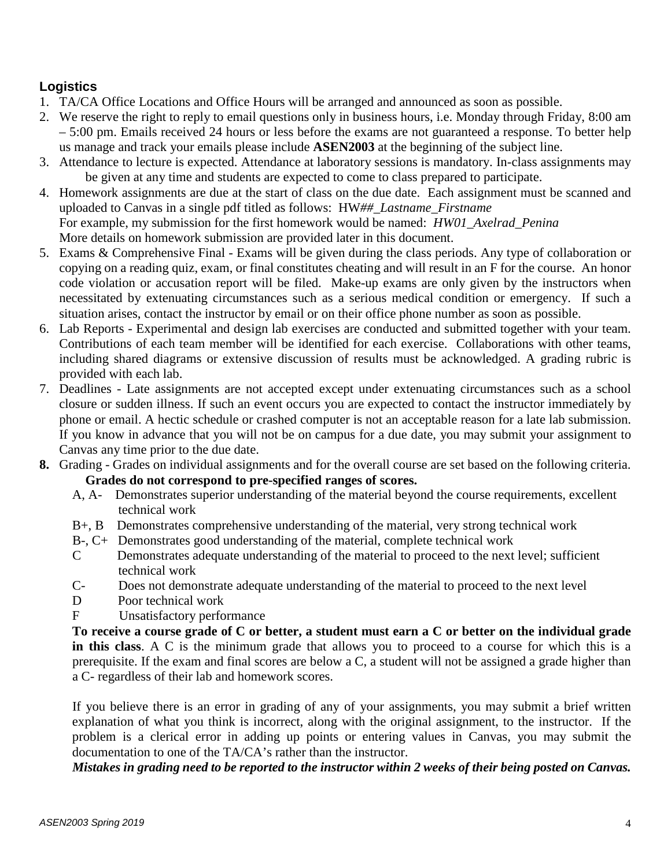# **Logistics**

- 1. TA/CA Office Locations and Office Hours will be arranged and announced as soon as possible.
- 2. We reserve the right to reply to email questions only in business hours, i.e. Monday through Friday, 8:00 am – 5:00 pm. Emails received 24 hours or less before the exams are not guaranteed a response. To better help us manage and track your emails please include **ASEN2003** at the beginning of the subject line.
- 3. Attendance to lecture is expected. Attendance at laboratory sessions is mandatory. In-class assignments may be given at any time and students are expected to come to class prepared to participate.
- 4. Homework assignments are due at the start of class on the due date. Each assignment must be scanned and uploaded to Canvas in a single pdf titled as follows: HW*##\_Lastname\_Firstname*  For example, my submission for the first homework would be named: *HW01\_Axelrad\_Penina* More details on homework submission are provided later in this document.
- 5. Exams & Comprehensive Final Exams will be given during the class periods. Any type of collaboration or copying on a reading quiz, exam, or final constitutes cheating and will result in an F for the course. An honor code violation or accusation report will be filed. Make-up exams are only given by the instructors when necessitated by extenuating circumstances such as a serious medical condition or emergency. If such a situation arises, contact the instructor by email or on their office phone number as soon as possible.
- 6. Lab Reports Experimental and design lab exercises are conducted and submitted together with your team. Contributions of each team member will be identified for each exercise. Collaborations with other teams, including shared diagrams or extensive discussion of results must be acknowledged. A grading rubric is provided with each lab.
- 7. Deadlines Late assignments are not accepted except under extenuating circumstances such as a school closure or sudden illness. If such an event occurs you are expected to contact the instructor immediately by phone or email. A hectic schedule or crashed computer is not an acceptable reason for a late lab submission. If you know in advance that you will not be on campus for a due date, you may submit your assignment to Canvas any time prior to the due date.
- **8.** Grading Grades on individual assignments and for the overall course are set based on the following criteria. **Grades do not correspond to pre-specified ranges of scores.**
	- A, A- Demonstrates superior understanding of the material beyond the course requirements, excellent technical work
	- B+, B Demonstrates comprehensive understanding of the material, very strong technical work
	- B-, C+ Demonstrates good understanding of the material, complete technical work
	- C Demonstrates adequate understanding of the material to proceed to the next level; sufficient technical work
	- C- Does not demonstrate adequate understanding of the material to proceed to the next level
	- D Poor technical work
	- F Unsatisfactory performance

To receive a course grade of C or better, a student must earn a C or better on the individual grade **in this class**. A C is the minimum grade that allows you to proceed to a course for which this is a prerequisite. If the exam and final scores are below a C, a student will not be assigned a grade higher than a C- regardless of their lab and homework scores.

If you believe there is an error in grading of any of your assignments, you may submit a brief written explanation of what you think is incorrect, along with the original assignment, to the instructor. If the problem is a clerical error in adding up points or entering values in Canvas, you may submit the documentation to one of the TA/CA's rather than the instructor.

Mistakes in grading need to be reported to the instructor within 2 weeks of their being posted on Canvas.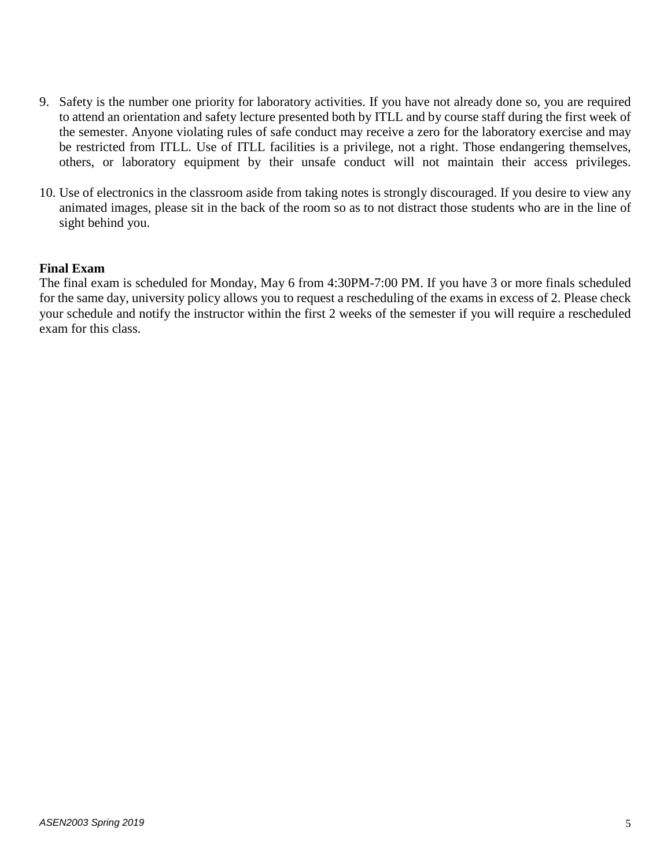- 9. Safety is the number one priority for laboratory activities. If you have not already done so, you are required to attend an orientation and safety lecture presented both by ITLL and by course staff during the first week of the semester. Anyone violating rules of safe conduct may receive a zero for the laboratory exercise and may be restricted from ITLL. Use of ITLL facilities is a privilege, not a right. Those endangering themselves, others, or laboratory equipment by their unsafe conduct will not maintain their access privileges.
- 10. Use of electronics in the classroom aside from taking notes is strongly discouraged. If you desire to view any animated images, please sit in the back of the room so as to not distract those students who are in the line of sight behind you.

#### **Final Exam**

The final exam is scheduled for Monday, May 6 from 4:30PM-7:00 PM. If you have 3 or more finals scheduled for the same day, university policy allows you to request a rescheduling of the exams in excess of 2. Please check your schedule and notify the instructor within the first 2 weeks of the semester if you will require a rescheduled exam for this class.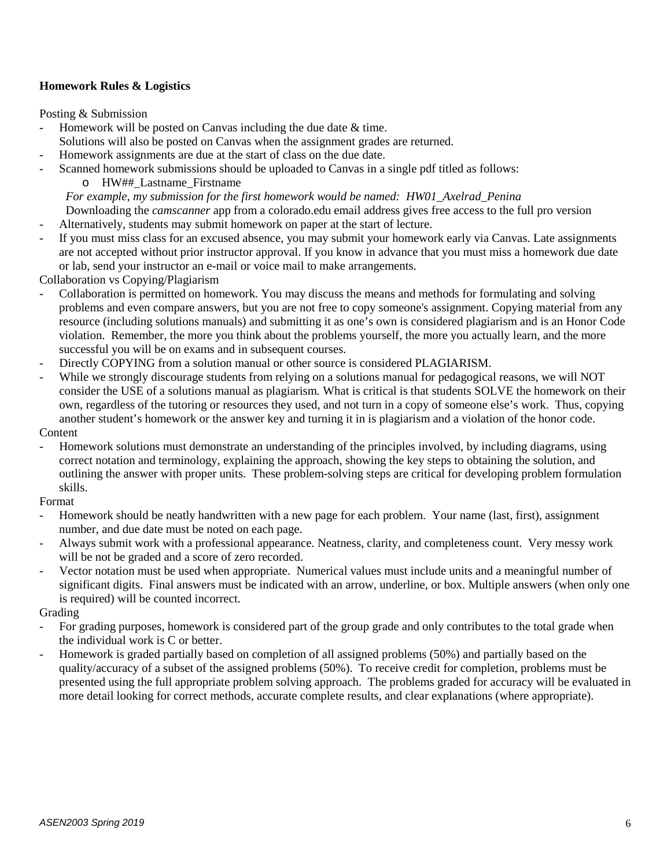#### **Homework Rules & Logistics**

Posting & Submission

- Homework will be posted on Canvas including the due date & time.
- Solutions will also be posted on Canvas when the assignment grades are returned.
- Homework assignments are due at the start of class on the due date.
- Scanned homework submissions should be uploaded to Canvas in a single pdf titled as follows:
	- o HW##\_Lastname\_Firstname

*For example, my submission for the first homework would be named: HW01\_Axelrad\_Penina* Downloading the *camscanner* app from a colorado.edu email address gives free access to the full pro version

- Alternatively, students may submit homework on paper at the start of lecture.
- If you must miss class for an excused absence, you may submit your homework early via Canvas. Late assignments are not accepted without prior instructor approval. If you know in advance that you must miss a homework due date or lab, send your instructor an e-mail or voice mail to make arrangements.

Collaboration vs Copying/Plagiarism

- Collaboration is permitted on homework. You may discuss the means and methods for formulating and solving problems and even compare answers, but you are not free to copy someone's assignment. Copying material from any resource (including solutions manuals) and submitting it as one's own is considered plagiarism and is an Honor Code violation. Remember, the more you think about the problems yourself, the more you actually learn, and the more successful you will be on exams and in subsequent courses.
- Directly COPYING from a solution manual or other source is considered PLAGIARISM.
- While we strongly discourage students from relying on a solutions manual for pedagogical reasons, we will NOT consider the USE of a solutions manual as plagiarism. What is critical is that students SOLVE the homework on their own, regardless of the tutoring or resources they used, and not turn in a copy of someone else's work. Thus, copying another student's homework or the answer key and turning it in is plagiarism and a violation of the honor code. Content
- Homework solutions must demonstrate an understanding of the principles involved, by including diagrams, using correct notation and terminology, explaining the approach, showing the key steps to obtaining the solution, and outlining the answer with proper units. These problem-solving steps are critical for developing problem formulation skills.

Format

- Homework should be neatly handwritten with a new page for each problem. Your name (last, first), assignment number, and due date must be noted on each page.
- Always submit work with a professional appearance. Neatness, clarity, and completeness count. Very messy work will be not be graded and a score of zero recorded.
- Vector notation must be used when appropriate. Numerical values must include units and a meaningful number of significant digits. Final answers must be indicated with an arrow, underline, or box. Multiple answers (when only one is required) will be counted incorrect.

Grading

- For grading purposes, homework is considered part of the group grade and only contributes to the total grade when the individual work is C or better.
- Homework is graded partially based on completion of all assigned problems (50%) and partially based on the quality/accuracy of a subset of the assigned problems (50%). To receive credit for completion, problems must be presented using the full appropriate problem solving approach. The problems graded for accuracy will be evaluated in more detail looking for correct methods, accurate complete results, and clear explanations (where appropriate).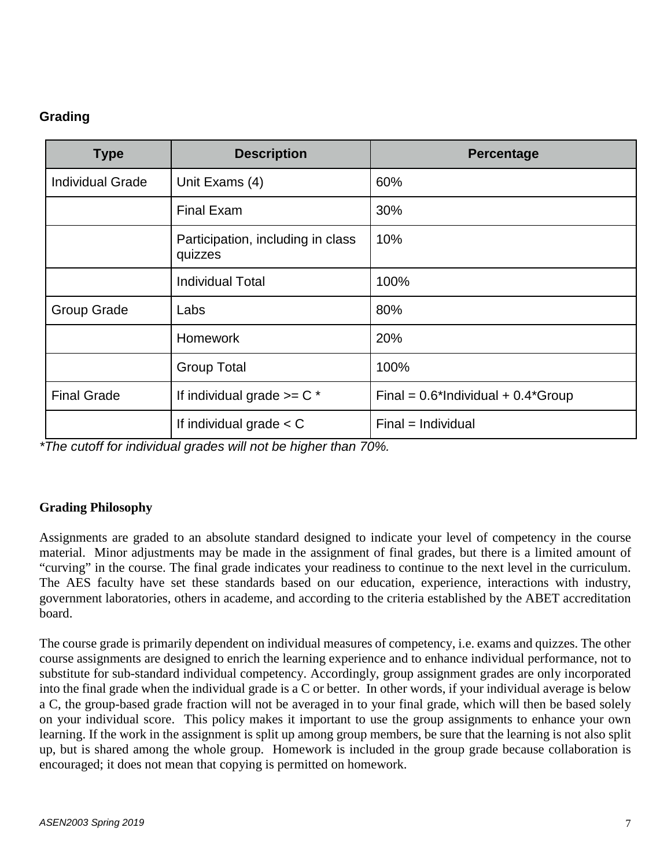# **Grading**

| <b>Type</b>             | <b>Description</b>                           | Percentage                               |
|-------------------------|----------------------------------------------|------------------------------------------|
| <b>Individual Grade</b> | Unit Exams (4)                               | 60%                                      |
|                         | <b>Final Exam</b>                            | 30%                                      |
|                         | Participation, including in class<br>quizzes | 10%                                      |
|                         | <b>Individual Total</b>                      | 100%                                     |
| <b>Group Grade</b>      | Labs                                         | 80%                                      |
|                         | <b>Homework</b>                              | 20%                                      |
|                         | <b>Group Total</b>                           | 100%                                     |
| <b>Final Grade</b>      | If individual grade $>= C^*$                 | Final = $0.6*$ Individual + $0.4*$ Group |
|                         | If individual grade $<$ C                    | $Final = Individual$                     |

*\*The cutoff for individual grades will not be higher than 70%.*

#### **Grading Philosophy**

Assignments are graded to an absolute standard designed to indicate your level of competency in the course material. Minor adjustments may be made in the assignment of final grades, but there is a limited amount of "curving" in the course. The final grade indicates your readiness to continue to the next level in the curriculum. The AES faculty have set these standards based on our education, experience, interactions with industry, government laboratories, others in academe, and according to the criteria established by the ABET accreditation board.

The course grade is primarily dependent on individual measures of competency, i.e. exams and quizzes. The other course assignments are designed to enrich the learning experience and to enhance individual performance, not to substitute for sub-standard individual competency. Accordingly, group assignment grades are only incorporated into the final grade when the individual grade is a C or better. In other words, if your individual average is below a C, the group-based grade fraction will not be averaged in to your final grade, which will then be based solely on your individual score. This policy makes it important to use the group assignments to enhance your own learning. If the work in the assignment is split up among group members, be sure that the learning is not also split up, but is shared among the whole group. Homework is included in the group grade because collaboration is encouraged; it does not mean that copying is permitted on homework.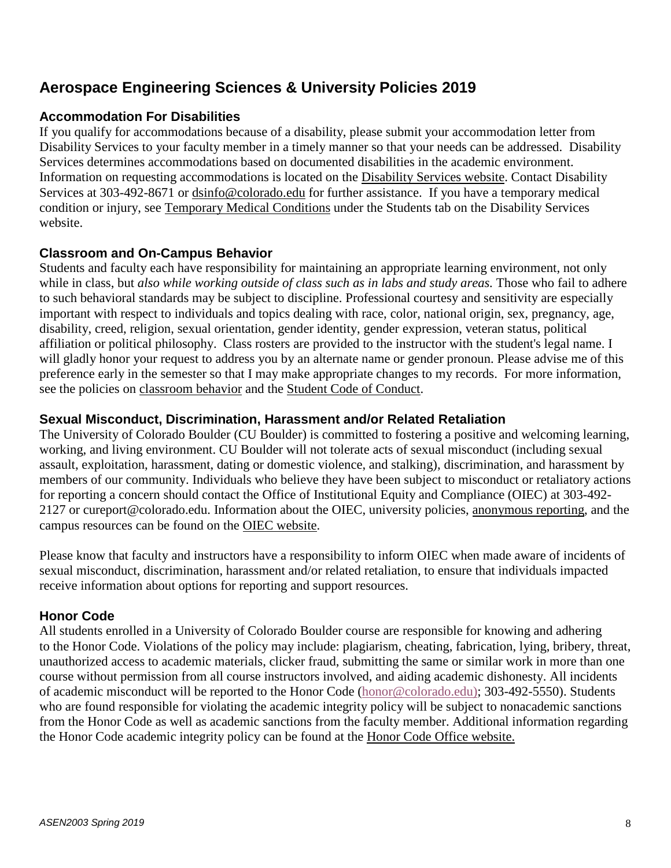# **Aerospace Engineering Sciences & University Policies 2019**

# **Accommodation For Disabilities**

If you qualify for accommodations because of a disability, please submit your accommodation letter from Disability Services to your faculty member in a timely manner so that your needs can be addressed. Disability Services determines accommodations based on documented disabilities in the academic environment. Information on requesting accommodations is located on the [Disability](http://www.colorado.edu/disabilityservices/students) Services website. Contact Disability Services at 303-492-8671 or [dsinfo@colorado.edu](mailto:dsinfo@colorado.edu) for further assistance. If you have a temporary medical condition or injury, see [Temporary](http://www.colorado.edu/disabilityservices/students/temporary-medical-conditions) Medical Conditions under the Students tab on the Disability Services website.

## **Classroom and On-Campus Behavior**

Students and faculty each have responsibility for maintaining an appropriate learning environment, not only while in class, but *also while working outside of class such as in labs and study areas.* Those who fail to adhere to such behavioral standards may be subject to discipline. Professional courtesy and sensitivity are especially important with respect to individuals and topics dealing with race, color, national origin, sex, pregnancy, age, disability, creed, religion, sexual orientation, gender identity, gender expression, veteran status, political affiliation or political philosophy. Class rosters are provided to the instructor with the student's legal name. I will gladly honor your request to address you by an alternate name or gender pronoun. Please advise me of this preference early in the semester so that I may make appropriate changes to my records. For more information, see the policies on [classroom](http://www.colorado.edu/policies/student-classroom-and-course-related-behavior) behavior and the Student Code of [Conduct.](http://www.colorado.edu/osccr/)

### **Sexual Misconduct, Discrimination, Harassment and/or Related Retaliation**

The University of Colorado Boulder (CU Boulder) is committed to fostering a positive and welcoming learning, working, and living environment. CU Boulder will not tolerate acts of sexual misconduct (including sexual assault, exploitation, harassment, dating or domestic violence, and stalking), discrimination, and harassment by members of our community. Individuals who believe they have been subject to misconduct or retaliatory actions for reporting a concern should contact the Office of Institutional Equity and Compliance (OIEC) at 303-492- 2127 or cureport@colorado.edu. Information about the OIEC, university policies, [anonymous](https://cuboulder.qualtrics.com/jfe/form/SV_0PnqVK4kkIJIZnf) reporting, and the campus resources can be found on the OIEC [website.](http://www.colorado.edu/institutionalequity/)

Please know that faculty and instructors have a responsibility to inform OIEC when made aware of incidents of sexual misconduct, discrimination, harassment and/or related retaliation, to ensure that individuals impacted receive information about options for reporting and support resources.

#### **Honor Code**

All students enrolled in a University of Colorado Boulder course are responsible for knowing and adhering to the Honor Code. Violations of the policy may include: plagiarism, cheating, fabrication, lying, bribery, threat, unauthorized access to academic materials, clicker fraud, submitting the same or similar work in more than one course without permission from all course instructors involved, and aiding academic dishonesty. All incidents of academic misconduct will be reported to the Honor Code [\(honor@colorado.edu\)](mailto:honor@colorado.edu); 303-492-5550). Students who are found responsible for violating the academic integrity policy will be subject to nonacademic sanctions from the Honor Code as well as academic sanctions from the faculty member. Additional information regarding the Honor Code academic integrity policy can be found at the Honor Code Office [website.](https://www.colorado.edu/osccr/honor-code)